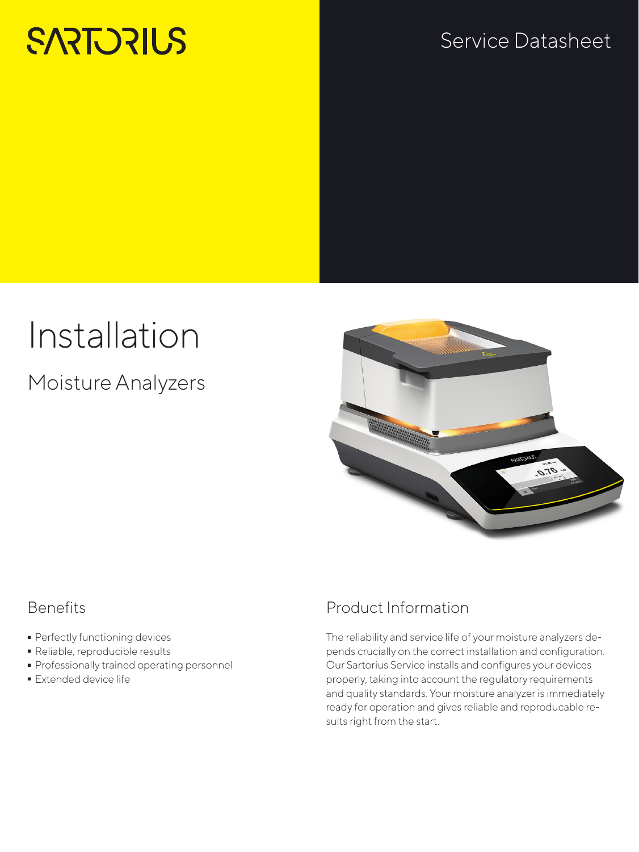# **SARTORIUS**

## Service Datasheet

## Installation

Moisture Analyzers



#### **Benefits**

- Perfectly functioning devices<br>• Reliable, reproducible results
- 
- Reliable, reproducible results - Professionally trained operating personnel
- Extended device life

### Product Information

The reliability and service life of your moisture analyzers depends crucially on the correct installation and configuration. Our Sartorius Service installs and configures your devices properly, taking into account the regulatory requirements and quality standards. Your moisture analyzer is immediately ready for operation and gives reliable and reproducable results right from the start.